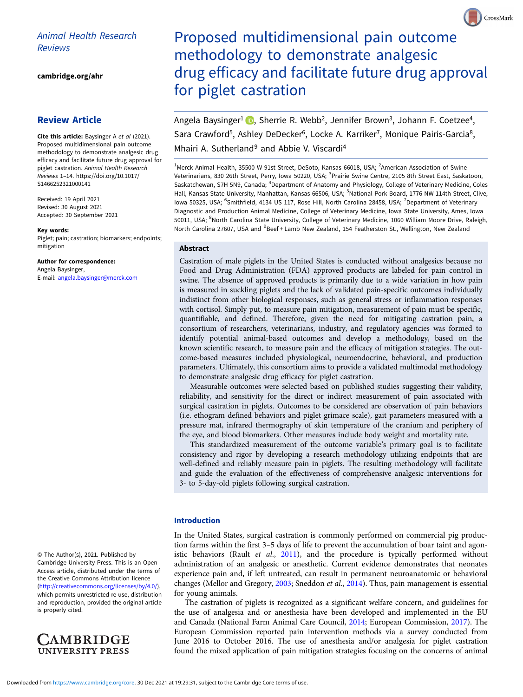# Animal Health Research Reviews

[cambridge.org/ahr](https://www.cambridge.org/ahr)

# Review Article

Cite this article: Baysinger A et al (2021). Proposed multidimensional pain outcome methodology to demonstrate analgesic drug efficacy and facilitate future drug approval for piglet castration. Animal Health Research Reviews 1–14. [https://doi.org/10.1017/](https://doi.org/10.1017/S1466252321000141) [S1466252321000141](https://doi.org/10.1017/S1466252321000141)

Received: 19 April 2021 Revised: 30 August 2021 Accepted: 30 September 2021

#### Key words:

Piglet; pain; castration; biomarkers; endpoints; mitigation

Author for correspondence: Angela Baysinger, E-mail: [angela.baysinger@merck.com](mailto:angela.baysinger@merck.com)

© The Author(s), 2021. Published by Cambridge University Press. This is an Open Access article, distributed under the terms of the Creative Commons Attribution licence ([http://creativecommons.org/licenses/by/4.0/\)](http://creativecommons.org/licenses/by/4.0/), which permits unrestricted re-use, distribution and reproduction, provided the original article is properly cited.



Proposed multidimensional pain outcome methodology to demonstrate analgesic drug efficacy and facilitate future drug approval for piglet castration

CrossMark

Angela Baysinger<sup>1</sup> **D**, Sherrie R. Webb<sup>2</sup>, Jennifer Brown<sup>3</sup>, Johann F. Coetzee<sup>4</sup>, Sara Crawford<sup>5</sup>, Ashley DeDecker<sup>6</sup>, Locke A. Karriker<sup>7</sup>, Monique Pairis-Garcia<sup>8</sup>, Mhairi A. Sutherland<sup>9</sup> and Abbie V. Viscardi<sup>4</sup>

<sup>1</sup>Merck Animal Health, 35500 W 91st Street, DeSoto, Kansas 66018, USA; <sup>2</sup>American Association of Swine Veterinarians, 830 26th Street, Perry, Iowa 50220, USA; <sup>3</sup>Prairie Swine Centre, 2105 8th Street East, Saskatoon, Saskatchewan, S7H 5N9, Canada; <sup>4</sup>Department of Anatomy and Physiology, College of Veterinary Medicine, Coles Hall, Kansas State University, Manhattan, Kansas 66506, USA; <sup>5</sup>National Pork Board, 1776 NW 114th Street, Clive, lowa 50325, USA; <sup>6</sup>Smithfield, 4134 US 117, Rose Hill, North Carolina 28458, USA; <sup>7</sup>Department of Veterinary Diagnostic and Production Animal Medicine, College of Veterinary Medicine, Iowa State University, Ames, Iowa 50011, USA; <sup>8</sup>North Carolina State University, College of Veterinary Medicine, 1060 William Moore Drive, Raleigh, North Carolina 27607, USA and <sup>9</sup>Beef + Lamb New Zealand, 154 Featherston St., Wellington, New Zealand

# Abstract

Castration of male piglets in the United States is conducted without analgesics because no Food and Drug Administration (FDA) approved products are labeled for pain control in swine. The absence of approved products is primarily due to a wide variation in how pain is measured in suckling piglets and the lack of validated pain-specific outcomes individually indistinct from other biological responses, such as general stress or inflammation responses with cortisol. Simply put, to measure pain mitigation, measurement of pain must be specific, quantifiable, and defined. Therefore, given the need for mitigating castration pain, a consortium of researchers, veterinarians, industry, and regulatory agencies was formed to identify potential animal-based outcomes and develop a methodology, based on the known scientific research, to measure pain and the efficacy of mitigation strategies. The outcome-based measures included physiological, neuroendocrine, behavioral, and production parameters. Ultimately, this consortium aims to provide a validated multimodal methodology to demonstrate analgesic drug efficacy for piglet castration.

Measurable outcomes were selected based on published studies suggesting their validity, reliability, and sensitivity for the direct or indirect measurement of pain associated with surgical castration in piglets. Outcomes to be considered are observation of pain behaviors (i.e. ethogram defined behaviors and piglet grimace scale), gait parameters measured with a pressure mat, infrared thermography of skin temperature of the cranium and periphery of the eye, and blood biomarkers. Other measures include body weight and mortality rate.

This standardized measurement of the outcome variable's primary goal is to facilitate consistency and rigor by developing a research methodology utilizing endpoints that are well-defined and reliably measure pain in piglets. The resulting methodology will facilitate and guide the evaluation of the effectiveness of comprehensive analgesic interventions for 3- to 5-day-old piglets following surgical castration.

# Introduction

In the United States, surgical castration is commonly performed on commercial pig production farms within the first 3–5 days of life to prevent the accumulation of boar taint and agon-istic behaviors (Rault et al., [2011](#page-13-0)), and the procedure is typically performed without administration of an analgesic or anesthetic. Current evidence demonstrates that neonates experience pain and, if left untreated, can result in permanent neuroanatomic or behavioral changes (Mellor and Gregory, [2003;](#page-12-0) Sneddon et al., [2014\)](#page-13-0). Thus, pain management is essential for young animals.

The castration of piglets is recognized as a significant welfare concern, and guidelines for the use of analgesia and or anesthesia have been developed and implemented in the EU and Canada (National Farm Animal Care Council, [2014;](#page-12-0) European Commission, [2017](#page-11-0)). The European Commission reported pain intervention methods via a survey conducted from June 2016 to October 2016. The use of anesthesia and/or analgesia for piglet castration found the mixed application of pain mitigation strategies focusing on the concerns of animal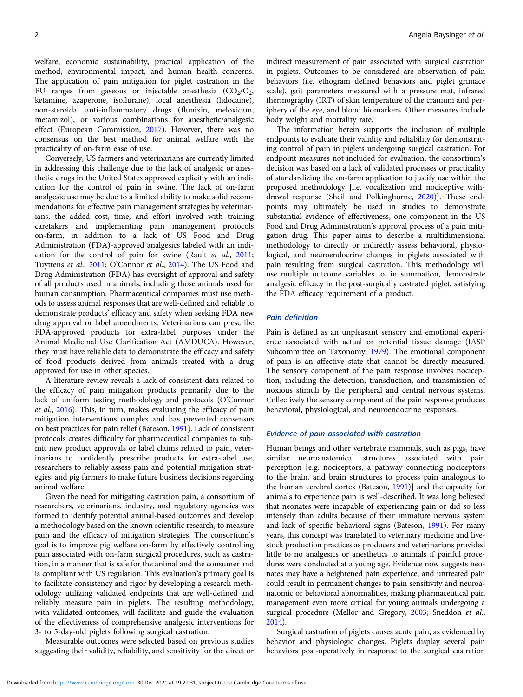welfare, economic sustainability, practical application of the method, environmental impact, and human health concerns. The application of pain mitigation for piglet castration in the EU ranges from gaseous or injectable anesthesia  $(CO<sub>2</sub>/O<sub>2</sub>)$ , ketamine, azaperone, isoflurane), local anesthesia (lidocaine), non-steroidal anti-inflammatory drugs (flunixin, meloxicam, metamizol), or various combinations for anesthetic/analgesic effect (European Commission, [2017](#page-11-0)). However, there was no consensus on the best method for animal welfare with the practicality of on-farm ease of use.

Conversely, US farmers and veterinarians are currently limited in addressing this challenge due to the lack of analgesic or anesthetic drugs in the United States approved explicitly with an indication for the control of pain in swine. The lack of on-farm analgesic use may be due to a limited ability to make solid recommendations for effective pain management strategies by veterinarians, the added cost, time, and effort involved with training caretakers and implementing pain management protocols on-farm, in addition to a lack of US Food and Drug Administration (FDA)-approved analgesics labeled with an indi-cation for the control of pain for swine (Rault et al., [2011](#page-13-0); Tuyttens et al., [2011;](#page-13-0) O'Connor et al., [2014\)](#page-12-0). The US Food and Drug Administration (FDA) has oversight of approval and safety of all products used in animals, including those animals used for human consumption. Pharmaceutical companies must use methods to assess animal responses that are well-defined and reliable to demonstrate products' efficacy and safety when seeking FDA new drug approval or label amendments. Veterinarians can prescribe FDA-approved products for extra-label purposes under the Animal Medicinal Use Clarification Act (AMDUCA). However, they must have reliable data to demonstrate the efficacy and safety of food products derived from animals treated with a drug approved for use in other species.

A literature review reveals a lack of consistent data related to the efficacy of pain mitigation products primarily due to the lack of uniform testing methodology and protocols (O'Connor et al., [2016](#page-12-0)). This, in turn, makes evaluating the efficacy of pain mitigation interventions complex and has prevented consensus on best practices for pain relief (Bateson, [1991\)](#page-11-0). Lack of consistent protocols creates difficulty for pharmaceutical companies to submit new product approvals or label claims related to pain, veterinarians to confidently prescribe products for extra-label use, researchers to reliably assess pain and potential mitigation strategies, and pig farmers to make future business decisions regarding animal welfare.

Given the need for mitigating castration pain, a consortium of researchers, veterinarians, industry, and regulatory agencies was formed to identify potential animal-based outcomes and develop a methodology based on the known scientific research, to measure pain and the efficacy of mitigation strategies. The consortium's goal is to improve pig welfare on-farm by effectively controlling pain associated with on-farm surgical procedures, such as castration, in a manner that is safe for the animal and the consumer and is compliant with US regulation. This evaluation's primary goal is to facilitate consistency and rigor by developing a research methodology utilizing validated endpoints that are well-defined and reliably measure pain in piglets. The resulting methodology, with validated outcomes, will facilitate and guide the evaluation of the effectiveness of comprehensive analgesic interventions for 3- to 5-day-old piglets following surgical castration.

Measurable outcomes were selected based on previous studies suggesting their validity, reliability, and sensitivity for the direct or indirect measurement of pain associated with surgical castration in piglets. Outcomes to be considered are observation of pain behaviors (i.e. ethogram defined behaviors and piglet grimace scale), gait parameters measured with a pressure mat, infrared thermography (IRT) of skin temperature of the cranium and periphery of the eye, and blood biomarkers. Other measures include body weight and mortality rate.

The information herein supports the inclusion of multiple endpoints to evaluate their validity and reliability for demonstrating control of pain in piglets undergoing surgical castration. For endpoint measures not included for evaluation, the consortium's decision was based on a lack of validated processes or practicality of standardizing the on-farm application to justify use within the proposed methodology [i.e. vocalization and nociceptive withdrawal response (Sheil and Polkinghorne, [2020](#page-13-0))]. These endpoints may ultimately be used in studies to demonstrate substantial evidence of effectiveness, one component in the US Food and Drug Administration's approval process of a pain mitigation drug. This paper aims to describe a multidimensional methodology to directly or indirectly assess behavioral, physiological, and neuroendocrine changes in piglets associated with pain resulting from surgical castration. This methodology will use multiple outcome variables to, in summation, demonstrate analgesic efficacy in the post-surgically castrated piglet, satisfying the FDA efficacy requirement of a product.

#### Pain definition

Pain is defined as an unpleasant sensory and emotional experience associated with actual or potential tissue damage (IASP Subcommittee on Taxonomy, [1979\)](#page-11-0). The emotional component of pain is an affective state that cannot be directly measured. The sensory component of the pain response involves nociception, including the detection, transduction, and transmission of noxious stimuli by the peripheral and central nervous systems. Collectively the sensory component of the pain response produces behavioral, physiological, and neuroendocrine responses.

#### Evidence of pain associated with castration

Human beings and other vertebrate mammals, such as pigs, have similar neuroanatomical structures associated with pain perception [e.g. nociceptors, a pathway connecting nociceptors to the brain, and brain structures to process pain analogous to the human cerebral cortex (Bateson, [1991](#page-11-0))] and the capacity for animals to experience pain is well-described. It was long believed that neonates were incapable of experiencing pain or did so less intensely than adults because of their immature nervous system and lack of specific behavioral signs (Bateson, [1991](#page-11-0)). For many years, this concept was translated to veterinary medicine and livestock production practices as producers and veterinarians provided little to no analgesics or anesthetics to animals if painful procedures were conducted at a young age. Evidence now suggests neonates may have a heightened pain experience, and untreated pain could result in permanent changes to pain sensitivity and neuroanatomic or behavioral abnormalities, making pharmaceutical pain management even more critical for young animals undergoing a surgical procedure (Mellor and Gregory, [2003](#page-12-0); Sneddon et al., [2014](#page-13-0)).

Surgical castration of piglets causes acute pain, as evidenced by behavior and physiologic changes. Piglets display several pain behaviors post-operatively in response to the surgical castration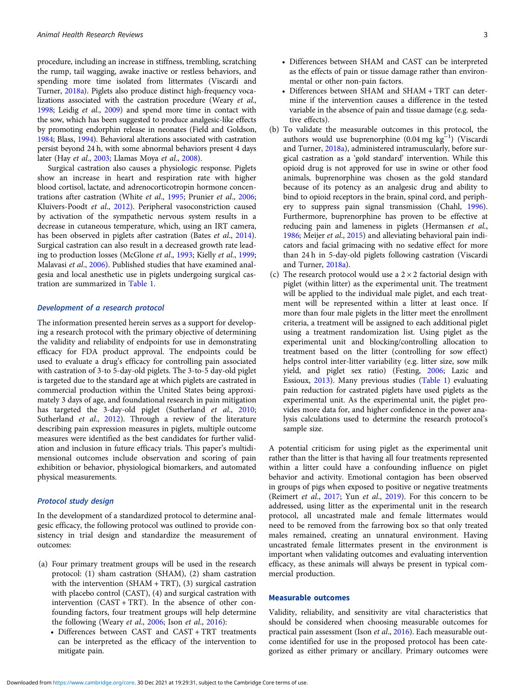procedure, including an increase in stiffness, trembling, scratching the rump, tail wagging, awake inactive or restless behaviors, and spending more time isolated from littermates (Viscardi and Turner, [2018a\)](#page-13-0). Piglets also produce distinct high-frequency vocalizations associated with the castration procedure (Weary et al., [1998](#page-13-0); Leidig et al., [2009\)](#page-12-0) and spend more time in contact with the sow, which has been suggested to produce analgesic-like effects by promoting endorphin release in neonates (Field and Goldson, [1984](#page-11-0); Blass, [1994](#page-11-0)). Behavioral alterations associated with castration persist beyond 24 h, with some abnormal behaviors present 4 days later (Hay et al., [2003;](#page-11-0) Llamas Moya et al., [2008](#page-12-0)).

Surgical castration also causes a physiologic response. Piglets show an increase in heart and respiration rate with higher blood cortisol, lactate, and adrenocorticotropin hormone concentrations after castration (White et al., [1995](#page-13-0); Prunier et al., [2006;](#page-13-0) Kluivers-Poodt et al., [2012\)](#page-12-0). Peripheral vasoconstriction caused by activation of the sympathetic nervous system results in a decrease in cutaneous temperature, which, using an IRT camera, has been observed in piglets after castration (Bates et al., [2014\)](#page-11-0). Surgical castration can also result in a decreased growth rate leading to production losses (McGlone et al., [1993](#page-12-0); Kielly et al., [1999;](#page-12-0) Malavasi et al., [2006\)](#page-12-0). Published studies that have examined analgesia and local anesthetic use in piglets undergoing surgical castration are summarized in [Table 1](#page-3-0).

#### Development of a research protocol

The information presented herein serves as a support for developing a research protocol with the primary objective of determining the validity and reliability of endpoints for use in demonstrating efficacy for FDA product approval. The endpoints could be used to evaluate a drug's efficacy for controlling pain associated with castration of 3-to 5-day-old piglets. The 3-to-5 day-old piglet is targeted due to the standard age at which piglets are castrated in commercial production within the United States being approximately 3 days of age, and foundational research in pain mitigation has targeted the 3-day-old piglet (Sutherland et al., [2010;](#page-13-0) Sutherland et al., [2012](#page-13-0)). Through a review of the literature describing pain expression measures in piglets, multiple outcome measures were identified as the best candidates for further validation and inclusion in future efficacy trials. This paper's multidimensional outcomes include observation and scoring of pain exhibition or behavior, physiological biomarkers, and automated physical measurements.

# Protocol study design

In the development of a standardized protocol to determine analgesic efficacy, the following protocol was outlined to provide consistency in trial design and standardize the measurement of outcomes:

- (a) Four primary treatment groups will be used in the research protocol: (1) sham castration (SHAM), (2) sham castration with the intervention (SHAM + TRT), (3) surgical castration with placebo control (CAST), (4) and surgical castration with intervention (CAST + TRT). In the absence of other confounding factors, four treatment groups will help determine the following (Weary et al., [2006](#page-13-0); Ison et al., [2016](#page-11-0)):
	- Differences between CAST and CAST + TRT treatments can be interpreted as the efficacy of the intervention to mitigate pain.
- Differences between SHAM and CAST can be interpreted as the effects of pain or tissue damage rather than environmental or other non-pain factors.
- Differences between SHAM and SHAM + TRT can determine if the intervention causes a difference in the tested variable in the absence of pain and tissue damage (e.g. sedative effects).
- (b) To validate the measurable outcomes in this protocol, the authors would use buprenorphine  $(0.04 \text{ mg kg}^{-1})$  (Viscardi and Turner, [2018a](#page-13-0)), administered intramuscularly, before surgical castration as a 'gold standard' intervention. While this opioid drug is not approved for use in swine or other food animals, buprenorphine was chosen as the gold standard because of its potency as an analgesic drug and ability to bind to opioid receptors in the brain, spinal cord, and periphery to suppress pain signal transmission (Chahl, [1996](#page-11-0)). Furthermore, buprenorphine has proven to be effective at reducing pain and lameness in piglets (Hermansen et al., [1986;](#page-11-0) Meijer et al., [2015](#page-12-0)) and alleviating behavioral pain indicators and facial grimacing with no sedative effect for more than 24 h in 5-day-old piglets following castration (Viscardi and Turner, [2018a\)](#page-13-0).
- (c) The research protocol would use a  $2 \times 2$  factorial design with piglet (within litter) as the experimental unit. The treatment will be applied to the individual male piglet, and each treatment will be represented within a litter at least once. If more than four male piglets in the litter meet the enrollment criteria, a treatment will be assigned to each additional piglet using a treatment randomization list. Using piglet as the experimental unit and blocking/controlling allocation to treatment based on the litter (controlling for sow effect) helps control inter-litter variability (e.g. litter size, sow milk yield, and piglet sex ratio) (Festing, [2006;](#page-11-0) Lazic and Essioux, [2013\)](#page-12-0). Many previous studies [\(Table 1\)](#page-3-0) evaluating pain reduction for castrated piglets have used piglets as the experimental unit. As the experimental unit, the piglet provides more data for, and higher confidence in the power analysis calculations used to determine the research protocol's sample size.

A potential criticism for using piglet as the experimental unit rather than the litter is that having all four treatments represented within a litter could have a confounding influence on piglet behavior and activity. Emotional contagion has been observed in groups of pigs when exposed to positive or negative treatments (Reimert et al., [2017](#page-13-0); Yun et al., [2019](#page-13-0)). For this concern to be addressed, using litter as the experimental unit in the research protocol, all uncastrated male and female littermates would need to be removed from the farrowing box so that only treated males remained, creating an unnatural environment. Having uncastrated female littermates present in the environment is important when validating outcomes and evaluating intervention efficacy, as these animals will always be present in typical commercial production.

# Measurable outcomes

Validity, reliability, and sensitivity are vital characteristics that should be considered when choosing measurable outcomes for practical pain assessment (Ison et al., [2016](#page-11-0)). Each measurable outcome identified for use in the proposed protocol has been categorized as either primary or ancillary. Primary outcomes were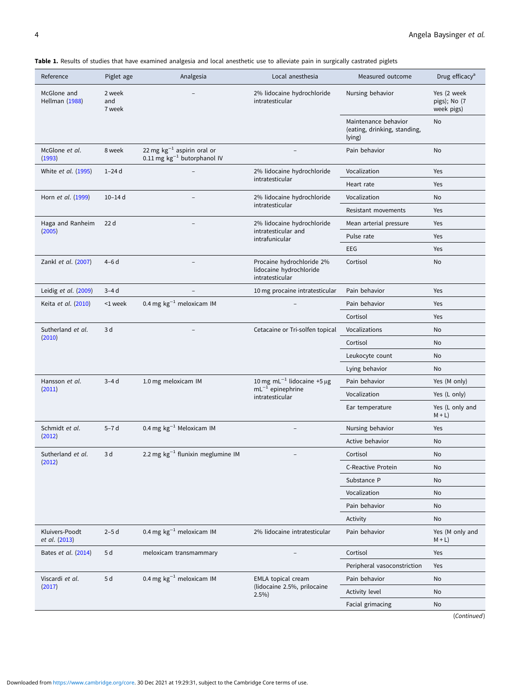<span id="page-3-0"></span>Table 1. Results of studies that have examined analgesia and local anesthetic use to alleviate pain in surgically castrated piglets

| Reference                       | Piglet age              | Analgesia                                                           | Local anesthesia                                                             | Measured outcome                                               | Drug efficacy <sup>a</sup>                |
|---------------------------------|-------------------------|---------------------------------------------------------------------|------------------------------------------------------------------------------|----------------------------------------------------------------|-------------------------------------------|
| McGlone and<br>Hellman (1988)   | 2 week<br>and<br>7 week | 2% lidocaine hydrochloride<br>intratesticular                       |                                                                              | Nursing behavior                                               | Yes (2 week<br>pigs); No (7<br>week pigs) |
|                                 |                         |                                                                     |                                                                              | Maintenance behavior<br>(eating, drinking, standing,<br>lying) | No                                        |
| McGlone et al.<br>(1993)        | 8 week                  | 22 mg $kg^{-1}$ aspirin oral or<br>0.11 mg $kg^{-1}$ butorphanol IV |                                                                              | Pain behavior                                                  | No                                        |
| White et al. (1995)             | $1-24d$                 |                                                                     | 2% lidocaine hydrochloride                                                   | Vocalization                                                   | Yes                                       |
|                                 |                         |                                                                     | intratesticular                                                              | Heart rate                                                     | Yes                                       |
| Horn et al. (1999)              | $10 - 14$ d             |                                                                     | 2% lidocaine hydrochloride                                                   | Vocalization                                                   | No                                        |
|                                 |                         |                                                                     | intratesticular                                                              | Resistant movements                                            | Yes                                       |
| Haga and Ranheim                | 22 <sub>d</sub>         |                                                                     | 2% lidocaine hydrochloride                                                   | Mean arterial pressure                                         | Yes                                       |
| (2005)                          |                         |                                                                     | intratesticular and<br>intrafunicular                                        | Pulse rate                                                     | Yes                                       |
|                                 |                         |                                                                     |                                                                              | EEG                                                            | Yes                                       |
| Zankl et al. (2007)             | $4-6d$                  |                                                                     | Procaine hydrochloride 2%<br>lidocaine hydrochloride<br>intratesticular      |                                                                | No                                        |
| Leidig et al. (2009)            | $3-4d$                  |                                                                     | 10 mg procaine intratesticular                                               | Pain behavior                                                  | Yes                                       |
| Keita et al. (2010)             | <1 week                 | 0.4 mg $kg^{-1}$ meloxicam IM                                       |                                                                              | Pain behavior                                                  | Yes                                       |
|                                 |                         |                                                                     |                                                                              | Cortisol                                                       | Yes                                       |
| Sutherland et al.               | 3 d                     |                                                                     | Cetacaine or Tri-solfen topical                                              | Vocalizations                                                  | No                                        |
| (2010)                          |                         |                                                                     |                                                                              | Cortisol                                                       | No                                        |
|                                 |                         |                                                                     |                                                                              | Leukocyte count                                                | No                                        |
|                                 |                         |                                                                     |                                                                              | Lying behavior                                                 | No                                        |
| Hansson et al.                  | $3-4d$                  | 1.0 mg meloxicam IM                                                 | 10 mg mL $^{-1}$ lidocaine +5 µg<br>$mL^{-1}$ epinephrine<br>intratesticular | Pain behavior                                                  | Yes (M only)                              |
| (2011)                          |                         |                                                                     |                                                                              | Vocalization                                                   | Yes (L only)                              |
|                                 |                         |                                                                     |                                                                              | Ear temperature                                                | Yes (L only and<br>$M + L$ )              |
| Schmidt et al.                  | $5-7d$                  | 0.4 mg $kg^{-1}$ Meloxicam IM                                       |                                                                              | Nursing behavior                                               | Yes                                       |
| (2012)                          |                         |                                                                     |                                                                              | Active behavior                                                | No                                        |
| Sutherland et al.               | 3 d                     | 2.2 mg $kg^{-1}$ flunixin meglumine IM                              |                                                                              | Cortisol                                                       | No                                        |
| (2012)                          |                         |                                                                     |                                                                              | C-Reactive Protein                                             | No                                        |
|                                 |                         |                                                                     |                                                                              | Substance P                                                    | No                                        |
|                                 |                         |                                                                     |                                                                              | Vocalization                                                   | No                                        |
|                                 |                         |                                                                     |                                                                              | Pain behavior                                                  | No                                        |
|                                 |                         |                                                                     |                                                                              | Activity                                                       | No                                        |
| Kluivers-Poodt<br>et al. (2013) | $2-5d$                  | 0.4 mg $kg^{-1}$ meloxicam IM                                       | 2% lidocaine intratesticular                                                 | Pain behavior                                                  | Yes (M only and<br>$M + L$ )              |
| Bates et al. (2014)             | 5 d<br>5 d              | meloxicam transmammary<br>0.4 mg $kg^{-1}$ meloxicam IM             | EMLA topical cream<br>(lidocaine 2.5%, prilocaine<br>2.5%                    | Cortisol                                                       | Yes                                       |
|                                 |                         |                                                                     |                                                                              | Peripheral vasoconstriction                                    | Yes                                       |
| Viscardi et al.                 |                         |                                                                     |                                                                              | Pain behavior                                                  | No                                        |
| (2017)                          |                         |                                                                     |                                                                              | Activity level                                                 | No                                        |
|                                 |                         |                                                                     |                                                                              | Facial grimacing                                               | No                                        |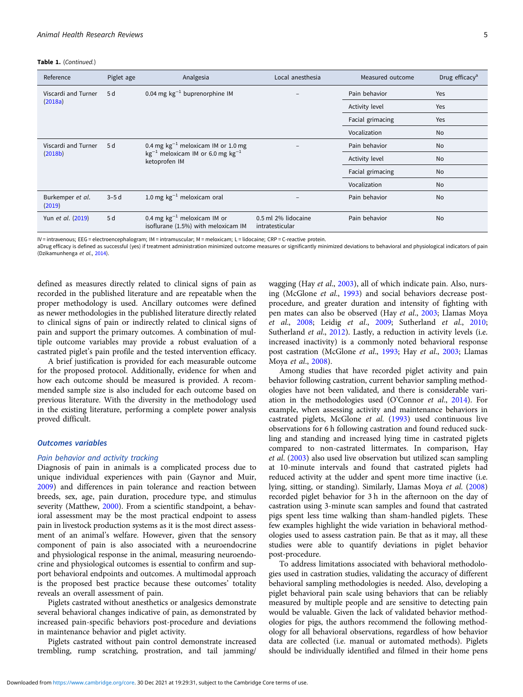Table 1. (Continued.)

| Reference                  | Piglet age | Analgesia                                                               | Local anesthesia                       | Measured outcome | Drug efficacy <sup>a</sup> |
|----------------------------|------------|-------------------------------------------------------------------------|----------------------------------------|------------------|----------------------------|
| Viscardi and Turner        | 5 d        | 0.04 mg $kg^{-1}$ buprenorphine IM                                      |                                        | Pain behavior    | <b>Yes</b>                 |
| (2018a)                    |            |                                                                         |                                        |                  | Yes                        |
|                            |            |                                                                         |                                        | Facial grimacing | Yes                        |
|                            |            |                                                                         |                                        | Vocalization     | <b>No</b>                  |
| Viscardi and Turner        | 5d         | 0.4 mg $kg^{-1}$ meloxicam IM or 1.0 mg                                 | $\overline{\phantom{a}}$               | Pain behavior    | <b>No</b>                  |
| (2018b)                    |            | $kg^{-1}$ meloxicam IM or 6.0 mg $kg^{-1}$<br>ketoprofen IM             |                                        | Activity level   | <b>No</b>                  |
|                            |            |                                                                         |                                        | Facial grimacing | No                         |
|                            |            |                                                                         |                                        | Vocalization     | <b>No</b>                  |
| Burkemper et al.<br>(2019) | $3-5d$     | 1.0 mg $kg^{-1}$ meloxicam oral                                         |                                        | Pain behavior    | <b>No</b>                  |
| Yun et al. (2019)          | 5 d        | 0.4 mg $kg^{-1}$ meloxicam IM or<br>isoflurane (1.5%) with meloxicam IM | 0.5 ml 2% lidocaine<br>intratesticular | Pain behavior    | <b>No</b>                  |

IV = intravenous; EEG = electroencephalogram; IM = intramuscular; M = meloxicam; L = lidocaine; CRP = C-reactive protein.

aDrug efficacy is defined as successful (yes) if treatment administration minimized outcome measures or significantly minimized deviations to behavioral and physiological indicators of pain (Dzikamunhenga et al., [2014\)](#page-11-0).

defined as measures directly related to clinical signs of pain as recorded in the published literature and are repeatable when the proper methodology is used. Ancillary outcomes were defined as newer methodologies in the published literature directly related to clinical signs of pain or indirectly related to clinical signs of pain and support the primary outcomes. A combination of multiple outcome variables may provide a robust evaluation of a castrated piglet's pain profile and the tested intervention efficacy.

A brief justification is provided for each measurable outcome for the proposed protocol. Additionally, evidence for when and how each outcome should be measured is provided. A recommended sample size is also included for each outcome based on previous literature. With the diversity in the methodology used in the existing literature, performing a complete power analysis proved difficult.

# Outcomes variables

#### Pain behavior and activity tracking

Diagnosis of pain in animals is a complicated process due to unique individual experiences with pain (Gaynor and Muir, [2009\)](#page-11-0) and differences in pain tolerance and reaction between breeds, sex, age, pain duration, procedure type, and stimulus severity (Matthew, [2000\)](#page-12-0). From a scientific standpoint, a behavioral assessment may be the most practical endpoint to assess pain in livestock production systems as it is the most direct assessment of an animal's welfare. However, given that the sensory component of pain is also associated with a neuroendocrine and physiological response in the animal, measuring neuroendocrine and physiological outcomes is essential to confirm and support behavioral endpoints and outcomes. A multimodal approach is the proposed best practice because these outcomes' totality reveals an overall assessment of pain.

Piglets castrated without anesthetics or analgesics demonstrate several behavioral changes indicative of pain, as demonstrated by increased pain-specific behaviors post-procedure and deviations in maintenance behavior and piglet activity.

Piglets castrated without pain control demonstrate increased trembling, rump scratching, prostration, and tail jamming/

wagging (Hay et al., [2003](#page-11-0)), all of which indicate pain. Also, nursing (McGlone et al., [1993](#page-12-0)) and social behaviors decrease postprocedure, and greater duration and intensity of fighting with pen mates can also be observed (Hay et al., [2003](#page-11-0); Llamas Moya et al., [2008](#page-12-0); Leidig et al., [2009;](#page-12-0) Sutherland et al., [2010](#page-13-0); Sutherland et al., [2012](#page-13-0)). Lastly, a reduction in activity levels (i.e. increased inactivity) is a commonly noted behavioral response post castration (McGlone et al., [1993](#page-12-0); Hay et al., [2003;](#page-11-0) Llamas Moya et al., [2008](#page-12-0)).

Among studies that have recorded piglet activity and pain behavior following castration, current behavior sampling methodologies have not been validated, and there is considerable variation in the methodologies used (O'Connor et al., [2014\)](#page-12-0). For example, when assessing activity and maintenance behaviors in castrated piglets, McGlone et al. ([1993](#page-12-0)) used continuous live observations for 6 h following castration and found reduced suckling and standing and increased lying time in castrated piglets compared to non-castrated littermates. In comparison, Hay et al. ([2003\)](#page-11-0) also used live observation but utilized scan sampling at 10-minute intervals and found that castrated piglets had reduced activity at the udder and spent more time inactive (i.e. lying, sitting, or standing). Similarly, Llamas Moya et al. [\(2008](#page-12-0)) recorded piglet behavior for 3 h in the afternoon on the day of castration using 3-minute scan samples and found that castrated pigs spent less time walking than sham-handled piglets. These few examples highlight the wide variation in behavioral methodologies used to assess castration pain. Be that as it may, all these studies were able to quantify deviations in piglet behavior post-procedure.

To address limitations associated with behavioral methodologies used in castration studies, validating the accuracy of different behavioral sampling methodologies is needed. Also, developing a piglet behavioral pain scale using behaviors that can be reliably measured by multiple people and are sensitive to detecting pain would be valuable. Given the lack of validated behavior methodologies for pigs, the authors recommend the following methodology for all behavioral observations, regardless of how behavior data are collected (i.e. manual or automated methods). Piglets should be individually identified and filmed in their home pens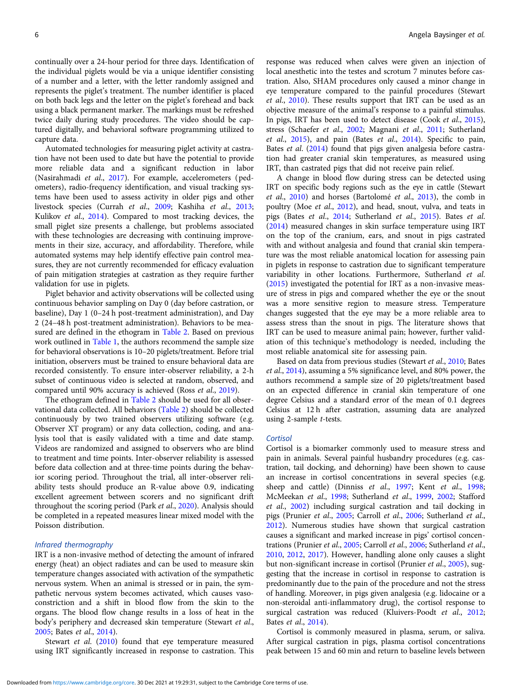continually over a 24-hour period for three days. Identification of the individual piglets would be via a unique identifier consisting of a number and a letter, with the letter randomly assigned and represents the piglet's treatment. The number identifier is placed on both back legs and the letter on the piglet's forehead and back using a black permanent marker. The markings must be refreshed twice daily during study procedures. The video should be captured digitally, and behavioral software programming utilized to capture data.

Automated technologies for measuring piglet activity at castration have not been used to date but have the potential to provide more reliable data and a significant reduction in labor (Nasirahmadi et al., [2017\)](#page-12-0). For example, accelerometers (pedometers), radio-frequency identification, and visual tracking systems have been used to assess activity in older pigs and other livestock species (Currah et al., [2009;](#page-11-0) Kashiha et al., [2013](#page-11-0); Kulikov et al., [2014\)](#page-12-0). Compared to most tracking devices, the small piglet size presents a challenge, but problems associated with these technologies are decreasing with continuing improvements in their size, accuracy, and affordability. Therefore, while automated systems may help identify effective pain control measures, they are not currently recommended for efficacy evaluation of pain mitigation strategies at castration as they require further validation for use in piglets.

Piglet behavior and activity observations will be collected using continuous behavior sampling on Day 0 (day before castration, or baseline), Day 1 (0–24 h post-treatment administration), and Day 2 (24–48 h post-treatment administration). Behaviors to be measured are defined in the ethogram in [Table 2.](#page-6-0) Based on previous work outlined in [Table 1](#page-3-0), the authors recommend the sample size for behavioral observations is 10–20 piglets/treatment. Before trial initiation, observers must be trained to ensure behavioral data are recorded consistently. To ensure inter-observer reliability, a 2-h subset of continuous video is selected at random, observed, and compared until 90% accuracy is achieved (Ross et al., [2019](#page-13-0)).

The ethogram defined in [Table 2](#page-6-0) should be used for all observational data collected. All behaviors [\(Table 2](#page-6-0)) should be collected continuously by two trained observers utilizing software (e.g. Observer XT program) or any data collection, coding, and analysis tool that is easily validated with a time and date stamp. Videos are randomized and assigned to observers who are blind to treatment and time points. Inter-observer reliability is assessed before data collection and at three-time points during the behavior scoring period. Throughout the trial, all inter-observer reliability tests should produce an R-value above 0.9, indicating excellent agreement between scorers and no significant drift throughout the scoring period (Park et al., [2020](#page-12-0)). Analysis should be completed in a repeated measures linear mixed model with the Poisson distribution.

#### Infrared thermography

IRT is a non-invasive method of detecting the amount of infrared energy (heat) an object radiates and can be used to measure skin temperature changes associated with activation of the sympathetic nervous system. When an animal is stressed or in pain, the sympathetic nervous system becomes activated, which causes vasoconstriction and a shift in blood flow from the skin to the organs. The blood flow change results in a loss of heat in the body's periphery and decreased skin temperature (Stewart et al., [2005;](#page-13-0) Bates et al., [2014](#page-11-0)).

Stewart et al. ([2010\)](#page-13-0) found that eye temperature measured using IRT significantly increased in response to castration. This

response was reduced when calves were given an injection of local anesthetic into the testes and scrotum 7 minutes before castration. Also, SHAM procedures only caused a minor change in eye temperature compared to the painful procedures (Stewart et al., [2010\)](#page-13-0). These results support that IRT can be used as an objective measure of the animal's response to a painful stimulus. In pigs, IRT has been used to detect disease (Cook et al., [2015](#page-11-0)), stress (Schaefer et al., [2002;](#page-13-0) Magnani et al., [2011;](#page-12-0) Sutherland et al., [2015\)](#page-13-0), and pain (Bates et al., [2014](#page-11-0)). Specific to pain, Bates et al. [\(2014](#page-11-0)) found that pigs given analgesia before castration had greater cranial skin temperatures, as measured using IRT, than castrated pigs that did not receive pain relief.

A change in blood flow during stress can be detected using IRT on specific body regions such as the eye in cattle (Stewart et al., [2010\)](#page-13-0) and horses (Bartolomé et al., [2013\)](#page-11-0), the comb in poultry (Moe et al., [2012](#page-12-0)), and head, snout, vulva, and teats in pigs (Bates et al., [2014;](#page-11-0) Sutherland et al., [2015\)](#page-13-0). Bates et al. ([2014\)](#page-11-0) measured changes in skin surface temperature using IRT on the top of the cranium, ears, and snout in pigs castrated with and without analgesia and found that cranial skin temperature was the most reliable anatomical location for assessing pain in piglets in response to castration due to significant temperature variability in other locations. Furthermore, Sutherland et al. ([2015\)](#page-13-0) investigated the potential for IRT as a non-invasive measure of stress in pigs and compared whether the eye or the snout was a more sensitive region to measure stress. Temperature changes suggested that the eye may be a more reliable area to assess stress than the snout in pigs. The literature shows that IRT can be used to measure animal pain; however, further validation of this technique's methodology is needed, including the most reliable anatomical site for assessing pain.

Based on data from previous studies (Stewart et al., [2010](#page-13-0); Bates et al., [2014\)](#page-11-0), assuming a 5% significance level, and 80% power, the authors recommend a sample size of 20 piglets/treatment based on an expected difference in cranial skin temperature of one degree Celsius and a standard error of the mean of 0.1 degrees Celsius at 12 h after castration, assuming data are analyzed using 2-sample t-tests.

#### **Cortisol**

Cortisol is a biomarker commonly used to measure stress and pain in animals. Several painful husbandry procedures (e.g. castration, tail docking, and dehorning) have been shown to cause an increase in cortisol concentrations in several species (e.g. sheep and cattle) (Dinniss et al., [1997;](#page-11-0) Kent et al., [1998;](#page-12-0) McMeekan et al., [1998;](#page-12-0) Sutherland et al., [1999,](#page-13-0) [2002](#page-13-0); Stafford et al., [2002](#page-13-0)) including surgical castration and tail docking in pigs (Prunier et al., [2005](#page-13-0); Carroll et al., [2006](#page-11-0); Sutherland et al., [2012\)](#page-13-0). Numerous studies have shown that surgical castration causes a significant and marked increase in pigs' cortisol concentrations (Prunier et al., [2005;](#page-13-0) Carroll et al., [2006](#page-11-0); Sutherland et al., [2010,](#page-13-0) [2012](#page-13-0), [2017\)](#page-13-0). However, handling alone only causes a slight but non-significant increase in cortisol (Prunier et al., [2005\)](#page-13-0), suggesting that the increase in cortisol in response to castration is predominantly due to the pain of the procedure and not the stress of handling. Moreover, in pigs given analgesia (e.g. lidocaine or a non-steroidal anti-inflammatory drug), the cortisol response to surgical castration was reduced (Kluivers-Poodt et al., [2012;](#page-12-0) Bates et al., [2014\)](#page-11-0).

Cortisol is commonly measured in plasma, serum, or saliva. After surgical castration in pigs, plasma cortisol concentrations peak between 15 and 60 min and return to baseline levels between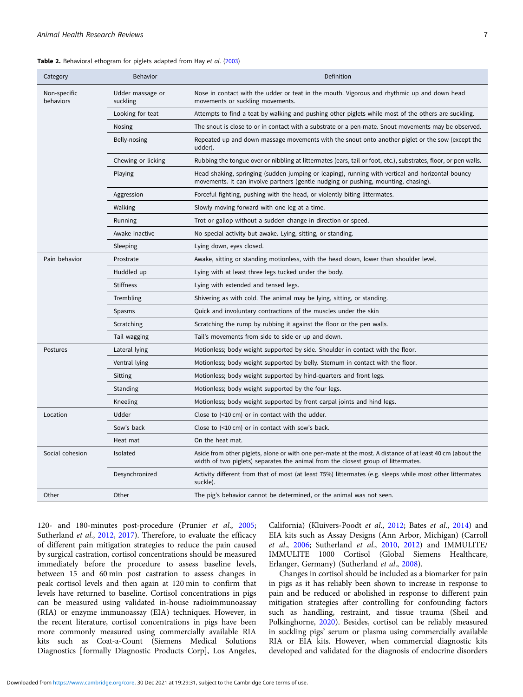<span id="page-6-0"></span>

| Table 2. Behavioral ethogram for piglets adapted from Hay et al. (2003) |  |  |  |  |  |
|-------------------------------------------------------------------------|--|--|--|--|--|
|-------------------------------------------------------------------------|--|--|--|--|--|

| Category                  | <b>Behavior</b>              | Definition                                                                                                                                                                                     |  |  |
|---------------------------|------------------------------|------------------------------------------------------------------------------------------------------------------------------------------------------------------------------------------------|--|--|
| Non-specific<br>behaviors | Udder massage or<br>suckling | Nose in contact with the udder or teat in the mouth. Vigorous and rhythmic up and down head<br>movements or suckling movements.                                                                |  |  |
|                           | Looking for teat             | Attempts to find a teat by walking and pushing other piglets while most of the others are suckling.                                                                                            |  |  |
|                           | Nosing                       | The snout is close to or in contact with a substrate or a pen-mate. Snout movements may be observed.                                                                                           |  |  |
|                           | Belly-nosing                 | Repeated up and down massage movements with the snout onto another piglet or the sow (except the<br>udder).                                                                                    |  |  |
|                           | Chewing or licking           | Rubbing the tongue over or nibbling at littermates (ears, tail or foot, etc.), substrates, floor, or pen walls.                                                                                |  |  |
|                           | Playing                      | Head shaking, springing (sudden jumping or leaping), running with vertical and horizontal bouncy<br>movements. It can involve partners (gentle nudging or pushing, mounting, chasing).         |  |  |
|                           | Aggression                   | Forceful fighting, pushing with the head, or violently biting littermates.                                                                                                                     |  |  |
|                           | Walking                      | Slowly moving forward with one leg at a time.                                                                                                                                                  |  |  |
|                           | Running                      | Trot or gallop without a sudden change in direction or speed.                                                                                                                                  |  |  |
|                           | Awake inactive               | No special activity but awake. Lying, sitting, or standing.                                                                                                                                    |  |  |
|                           | Sleeping                     | Lying down, eyes closed.                                                                                                                                                                       |  |  |
| Pain behavior             | Prostrate                    | Awake, sitting or standing motionless, with the head down, lower than shoulder level.                                                                                                          |  |  |
|                           | Huddled up                   | Lying with at least three legs tucked under the body.                                                                                                                                          |  |  |
|                           | <b>Stiffness</b>             | Lying with extended and tensed legs.                                                                                                                                                           |  |  |
|                           | Trembling                    | Shivering as with cold. The animal may be lying, sitting, or standing.                                                                                                                         |  |  |
|                           | Spasms                       | Quick and involuntary contractions of the muscles under the skin                                                                                                                               |  |  |
|                           | Scratching                   | Scratching the rump by rubbing it against the floor or the pen walls.                                                                                                                          |  |  |
|                           | Tail wagging                 | Tail's movements from side to side or up and down.                                                                                                                                             |  |  |
| Postures                  | Lateral lying                | Motionless; body weight supported by side. Shoulder in contact with the floor.                                                                                                                 |  |  |
|                           | Ventral lying                | Motionless; body weight supported by belly. Sternum in contact with the floor.                                                                                                                 |  |  |
|                           | Sitting                      | Motionless; body weight supported by hind-quarters and front legs.                                                                                                                             |  |  |
|                           | Standing                     | Motionless; body weight supported by the four legs.                                                                                                                                            |  |  |
|                           | Kneeling                     | Motionless; body weight supported by front carpal joints and hind legs.                                                                                                                        |  |  |
| Location                  | Udder                        | Close to $($ <10 cm $)$ or in contact with the udder.                                                                                                                                          |  |  |
|                           | Sow's back                   | Close to $(10 \text{ cm})$ or in contact with sow's back.                                                                                                                                      |  |  |
|                           | Heat mat                     | On the heat mat.                                                                                                                                                                               |  |  |
| Social cohesion           | Isolated                     | Aside from other piglets, alone or with one pen-mate at the most. A distance of at least 40 cm (about the<br>width of two piglets) separates the animal from the closest group of littermates. |  |  |
|                           | Desynchronized               | Activity different from that of most (at least 75%) littermates (e.g. sleeps while most other littermates<br>suckle).                                                                          |  |  |
| Other                     | Other                        | The pig's behavior cannot be determined, or the animal was not seen.                                                                                                                           |  |  |

120- and 180-minutes post-procedure (Prunier et al., [2005;](#page-13-0) Sutherland et al., [2012,](#page-13-0) [2017](#page-13-0)). Therefore, to evaluate the efficacy of different pain mitigation strategies to reduce the pain caused by surgical castration, cortisol concentrations should be measured immediately before the procedure to assess baseline levels, between 15 and 60 min post castration to assess changes in peak cortisol levels and then again at 120 min to confirm that levels have returned to baseline. Cortisol concentrations in pigs can be measured using validated in-house radioimmunoassay (RIA) or enzyme immunoassay (EIA) techniques. However, in the recent literature, cortisol concentrations in pigs have been more commonly measured using commercially available RIA kits such as Coat-a-Count (Siemens Medical Solutions Diagnostics [formally Diagnostic Products Corp], Los Angeles,

California) (Kluivers-Poodt et al., [2012;](#page-12-0) Bates et al., [2014\)](#page-11-0) and EIA kits such as Assay Designs (Ann Arbor, Michigan) (Carroll et al., [2006](#page-11-0); Sutherland et al., [2010,](#page-13-0) [2012](#page-13-0)) and IMMULITE/ IMMULITE 1000 Cortisol (Global Siemens Healthcare, Erlanger, Germany) (Sutherland et al., [2008\)](#page-13-0).

Changes in cortisol should be included as a biomarker for pain in pigs as it has reliably been shown to increase in response to pain and be reduced or abolished in response to different pain mitigation strategies after controlling for confounding factors such as handling, restraint, and tissue trauma (Sheil and Polkinghorne, [2020\)](#page-13-0). Besides, cortisol can be reliably measured in suckling pigs' serum or plasma using commercially available RIA or EIA kits. However, when commercial diagnostic kits developed and validated for the diagnosis of endocrine disorders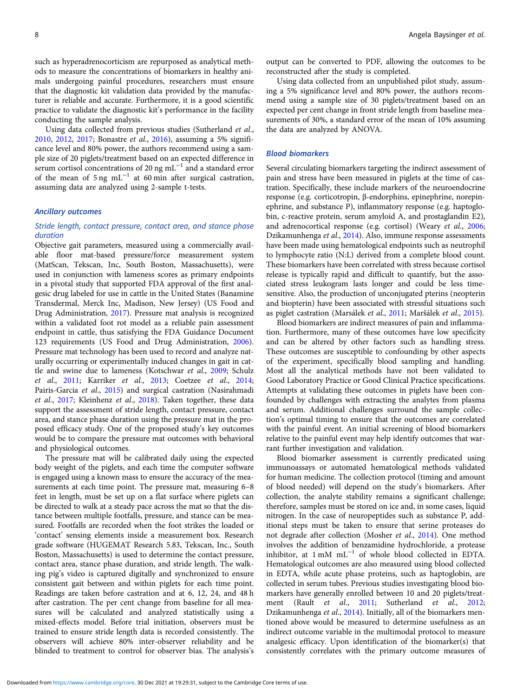such as hyperadrenocorticism are repurposed as analytical methods to measure the concentrations of biomarkers in healthy animals undergoing painful procedures, researchers must ensure that the diagnostic kit validation data provided by the manufacturer is reliable and accurate. Furthermore, it is a good scientific practice to validate the diagnostic kit's performance in the facility conducting the sample analysis.

Using data collected from previous studies (Sutherland et al., [2010,](#page-13-0) [2012,](#page-13-0) [2017;](#page-13-0) Bonastre et al., [2016](#page-11-0)), assuming a 5% significance level and 80% power, the authors recommend using a sample size of 20 piglets/treatment based on an expected difference in serum cortisol concentrations of 20 ng mL $^{-1}$  and a standard error of the mean of 5 ng mL<sup>-1</sup> at 60 min after surgical castration, assuming data are analyzed using 2-sample t-tests.

# Ancillary outcomes

# Stride length, contact pressure, contact area, and stance phase duration

Objective gait parameters, measured using a commercially available floor mat-based pressure/force measurement system (MatScan, Tekscan, Inc, South Boston, Massachusetts), were used in conjunction with lameness scores as primary endpoints in a pivotal study that supported FDA approval of the first analgesic drug labeled for use in cattle in the United States (Banamine Transdermal, Merck Inc, Madison, New Jersey) (US Food and Drug Administration, [2017](#page-13-0)). Pressure mat analysis is recognized within a validated foot rot model as a reliable pain assessment endpoint in cattle, thus satisfying the FDA Guidance Document 123 requirements (US Food and Drug Administration, [2006\)](#page-13-0). Pressure mat technology has been used to record and analyze naturally occurring or experimentally induced changes in gait in cattle and swine due to lameness (Kotschwar et al., [2009](#page-12-0); Schulz et al., [2011](#page-13-0); Karriker et al., [2013;](#page-11-0) Coetzee et al., [2014](#page-11-0); Pairis-Garcia et al., [2015](#page-12-0)) and surgical castration (Nasirahmadi et al., [2017;](#page-12-0) Kleinhenz et al., [2018\)](#page-12-0). Taken together, these data support the assessment of stride length, contact pressure, contact area, and stance phase duration using the pressure mat in the proposed efficacy study. One of the proposed study's key outcomes would be to compare the pressure mat outcomes with behavioral and physiological outcomes.

The pressure mat will be calibrated daily using the expected body weight of the piglets, and each time the computer software is engaged using a known mass to ensure the accuracy of the measurements at each time point. The pressure mat, measuring 6–8 feet in length, must be set up on a flat surface where piglets can be directed to walk at a steady pace across the mat so that the distance between multiple footfalls, pressure, and stance can be measured. Footfalls are recorded when the foot strikes the loaded or 'contact' sensing elements inside a measurement box. Research grade software (HUGEMAT Research 5.83, Tekscan, Inc., South Boston, Massachusetts) is used to determine the contact pressure, contact area, stance phase duration, and stride length. The walking pig's video is captured digitally and synchronized to ensure consistent gait between and within piglets for each time point. Readings are taken before castration and at 6, 12, 24, and 48 h after castration. The per cent change from baseline for all measures will be calculated and analyzed statistically using a mixed-effects model. Before trial initiation, observers must be trained to ensure stride length data is recorded consistently. The observers will achieve 80% inter-observer reliability and be blinded to treatment to control for observer bias. The analysis's

output can be converted to PDF, allowing the outcomes to be reconstructed after the study is completed.

Using data collected from an unpublished pilot study, assuming a 5% significance level and 80% power, the authors recommend using a sample size of 30 piglets/treatment based on an expected per cent change in front stride length from baseline measurements of 30%, a standard error of the mean of 10% assuming the data are analyzed by ANOVA.

# Blood biomarkers

Several circulating biomarkers targeting the indirect assessment of pain and stress have been measured in piglets at the time of castration. Specifically, these include markers of the neuroendocrine response (e.g. corticotropin, β-endorphins, epinephrine, norepinephrine, and substance P), inflammatory response (e.g. haptoglobin, c-reactive protein, serum amyloid A, and prostaglandin E2), and adrenocortical response (e.g. cortisol) (Weary et al., [2006;](#page-13-0) Dzikamunhenga et al., [2014\)](#page-11-0). Also, immune response assessments have been made using hematological endpoints such as neutrophil to lymphocyte ratio (N:L) derived from a complete blood count. These biomarkers have been correlated with stress because cortisol release is typically rapid and difficult to quantify, but the associated stress leukogram lasts longer and could be less timesensitive. Also, the production of unconjugated pterins (neopterin and biopterin) have been associated with stressful situations such as piglet castration (Marsálek et al., [2011](#page-12-0); Maršálek et al., [2015](#page-12-0)).

Blood biomarkers are indirect measures of pain and inflammation. Furthermore, many of these outcomes have low specificity and can be altered by other factors such as handling stress. These outcomes are susceptible to confounding by other aspects of the experiment, specifically blood sampling and handling. Most all the analytical methods have not been validated to Good Laboratory Practice or Good Clinical Practice specifications. Attempts at validating these outcomes in piglets have been confounded by challenges with extracting the analytes from plasma and serum. Additional challenges surround the sample collection's optimal timing to ensure that the outcomes are correlated with the painful event. An initial screening of blood biomarkers relative to the painful event may help identify outcomes that warrant further investigation and validation.

Blood biomarker assessment is currently predicated using immunoassays or automated hematological methods validated for human medicine. The collection protocol (timing and amount of blood needed) will depend on the study's biomarkers. After collection, the analyte stability remains a significant challenge; therefore, samples must be stored on ice and, in some cases, liquid nitrogen. In the case of neuropeptides such as substance P, additional steps must be taken to ensure that serine proteases do not degrade after collection (Mosher et al., [2014](#page-12-0)). One method involves the addition of benzamidine hydrochloride, a protease inhibitor, at  $1 \text{ mM } \text{ mL}^{-1}$  of whole blood collected in EDTA. Hematological outcomes are also measured using blood collected in EDTA, while acute phase proteins, such as haptoglobin, are collected in serum tubes. Previous studies investigating blood biomarkers have generally enrolled between 10 and 20 piglets/treat-ment (Rault et al., [2011](#page-13-0); Sutherland et al., [2012;](#page-13-0) Dzikamunhenga et al., [2014\)](#page-11-0). Initially, all of the biomarkers mentioned above would be measured to determine usefulness as an indirect outcome variable in the multimodal protocol to measure analgesic efficacy. Upon identification of the biomarker(s) that consistently correlates with the primary outcome measures of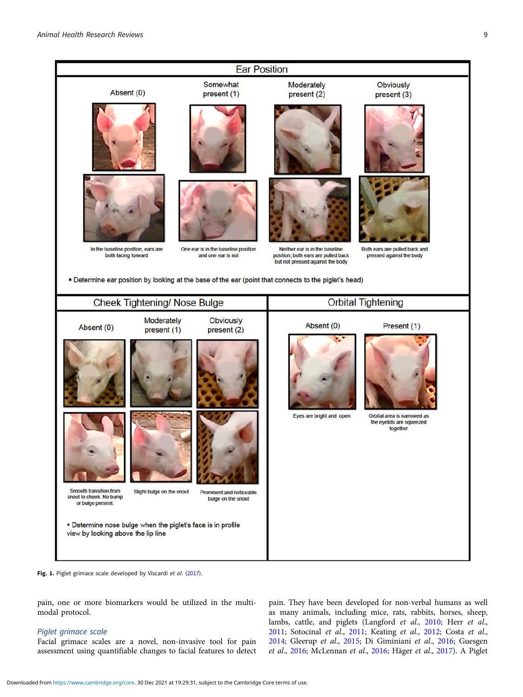<span id="page-8-0"></span>

Fig. 1. Piglet grimace scale developed by Viscardi et al. [\(2017\)](#page-13-0).

pain, one or more biomarkers would be utilized in the multimodal protocol.

# Piglet grimace scale

Facial grimace scales are a novel, non-invasive tool for pain assessment using quantifiable changes to facial features to detect pain. They have been developed for non-verbal humans as well as many animals, including mice, rats, rabbits, horses, sheep, lambs, cattle, and piglets (Langford et al., [2010](#page-12-0); Herr et al., [2011](#page-11-0); Sotocinal et al., [2011;](#page-13-0) Keating et al., [2012;](#page-11-0) Costa et al., [2014](#page-11-0); Gleerup et al., [2015;](#page-11-0) Di Giminiani et al., [2016;](#page-11-0) Guesgen et al., [2016;](#page-11-0) McLennan et al., [2016](#page-12-0); Häger et al., [2017\)](#page-11-0). A Piglet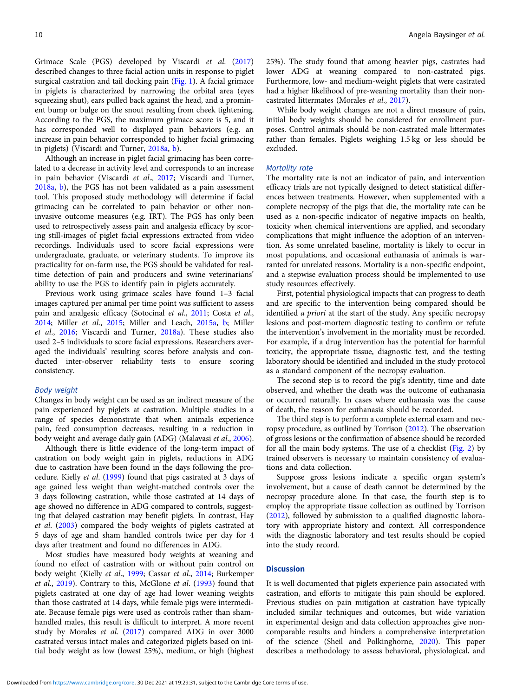Grimace Scale (PGS) developed by Viscardi et al. ([2017\)](#page-13-0) described changes to three facial action units in response to piglet surgical castration and tail docking pain [\(Fig. 1\)](#page-8-0). A facial grimace in piglets is characterized by narrowing the orbital area (eyes squeezing shut), ears pulled back against the head, and a prominent bump or bulge on the snout resulting from cheek tightening. According to the PGS, the maximum grimace score is 5, and it has corresponded well to displayed pain behaviors (e.g. an increase in pain behavior corresponded to higher facial grimacing in piglets) (Viscardi and Turner, [2018a](#page-13-0), [b](#page-13-0)).

Although an increase in piglet facial grimacing has been correlated to a decrease in activity level and corresponds to an increase in pain behavior (Viscardi et al., [2017;](#page-13-0) Viscardi and Turner, [2018a](#page-13-0), [b](#page-13-0)), the PGS has not been validated as a pain assessment tool. This proposed study methodology will determine if facial grimacing can be correlated to pain behavior or other noninvasive outcome measures (e.g. IRT). The PGS has only been used to retrospectively assess pain and analgesia efficacy by scoring still-images of piglet facial expressions extracted from video recordings. Individuals used to score facial expressions were undergraduate, graduate, or veterinary students. To improve its practicality for on-farm use, the PGS should be validated for realtime detection of pain and producers and swine veterinarians' ability to use the PGS to identify pain in piglets accurately.

Previous work using grimace scales have found 1–3 facial images captured per animal per time point was sufficient to assess pain and analgesic efficacy (Sotocinal et al., [2011;](#page-13-0) Costa et al., [2014;](#page-11-0) Miller et al., [2015;](#page-12-0) Miller and Leach, [2015a,](#page-12-0) [b;](#page-12-0) Miller et al., [2016;](#page-12-0) Viscardi and Turner, [2018a](#page-13-0)). These studies also used 2–5 individuals to score facial expressions. Researchers averaged the individuals' resulting scores before analysis and conducted inter-observer reliability tests to ensure scoring consistency.

#### Body weight

Changes in body weight can be used as an indirect measure of the pain experienced by piglets at castration. Multiple studies in a range of species demonstrate that when animals experience pain, feed consumption decreases, resulting in a reduction in body weight and average daily gain (ADG) (Malavasi et al., [2006\)](#page-12-0).

Although there is little evidence of the long-term impact of castration on body weight gain in piglets, reductions in ADG due to castration have been found in the days following the procedure. Kielly et al. [\(1999\)](#page-12-0) found that pigs castrated at 3 days of age gained less weight than weight-matched controls over the 3 days following castration, while those castrated at 14 days of age showed no difference in ADG compared to controls, suggesting that delayed castration may benefit piglets. In contrast, Hay et al. ([2003\)](#page-11-0) compared the body weights of piglets castrated at 5 days of age and sham handled controls twice per day for 4 days after treatment and found no differences in ADG.

Most studies have measured body weights at weaning and found no effect of castration with or without pain control on body weight (Kielly et al., [1999](#page-12-0); Cassar et al., [2014;](#page-11-0) Burkemper et al., [2019](#page-11-0)). Contrary to this, McGlone et al. [\(1993\)](#page-12-0) found that piglets castrated at one day of age had lower weaning weights than those castrated at 14 days, while female pigs were intermediate. Because female pigs were used as controls rather than shamhandled males, this result is difficult to interpret. A more recent study by Morales et al. [\(2017](#page-12-0)) compared ADG in over 3000 castrated versus intact males and categorized piglets based on initial body weight as low (lowest 25%), medium, or high (highest

25%). The study found that among heavier pigs, castrates had lower ADG at weaning compared to non-castrated pigs. Furthermore, low- and medium-weight piglets that were castrated had a higher likelihood of pre-weaning mortality than their noncastrated littermates (Morales et al., [2017](#page-12-0)).

While body weight changes are not a direct measure of pain, initial body weights should be considered for enrollment purposes. Control animals should be non-castrated male littermates rather than females. Piglets weighing 1.5 kg or less should be excluded.

#### Mortality rate

The mortality rate is not an indicator of pain, and intervention efficacy trials are not typically designed to detect statistical differences between treatments. However, when supplemented with a complete necropsy of the pigs that die, the mortality rate can be used as a non-specific indicator of negative impacts on health, toxicity when chemical interventions are applied, and secondary complications that might influence the adoption of an intervention. As some unrelated baseline, mortality is likely to occur in most populations, and occasional euthanasia of animals is warranted for unrelated reasons. Mortality is a non-specific endpoint, and a stepwise evaluation process should be implemented to use study resources effectively.

First, potential physiological impacts that can progress to death and are specific to the intervention being compared should be identified *a priori* at the start of the study. Any specific necropsy lesions and post-mortem diagnostic testing to confirm or refute the intervention's involvement in the mortality must be recorded. For example, if a drug intervention has the potential for harmful toxicity, the appropriate tissue, diagnostic test, and the testing laboratory should be identified and included in the study protocol as a standard component of the necropsy evaluation.

The second step is to record the pig's identity, time and date observed, and whether the death was the outcome of euthanasia or occurred naturally. In cases where euthanasia was the cause of death, the reason for euthanasia should be recorded.

The third step is to perform a complete external exam and necropsy procedure, as outlined by Torrison ([2012](#page-13-0)). The observation of gross lesions or the confirmation of absence should be recorded for all the main body systems. The use of a checklist [\(Fig. 2](#page-10-0)) by trained observers is necessary to maintain consistency of evaluations and data collection.

Suppose gross lesions indicate a specific organ system's involvement, but a cause of death cannot be determined by the necropsy procedure alone. In that case, the fourth step is to employ the appropriate tissue collection as outlined by Torrison ([2012\)](#page-13-0), followed by submission to a qualified diagnostic laboratory with appropriate history and context. All correspondence with the diagnostic laboratory and test results should be copied into the study record.

# **Discussion**

It is well documented that piglets experience pain associated with castration, and efforts to mitigate this pain should be explored. Previous studies on pain mitigation at castration have typically included similar techniques and outcomes, but wide variation in experimental design and data collection approaches give noncomparable results and hinders a comprehensive interpretation of the science (Sheil and Polkinghorne, [2020](#page-13-0)). This paper describes a methodology to assess behavioral, physiological, and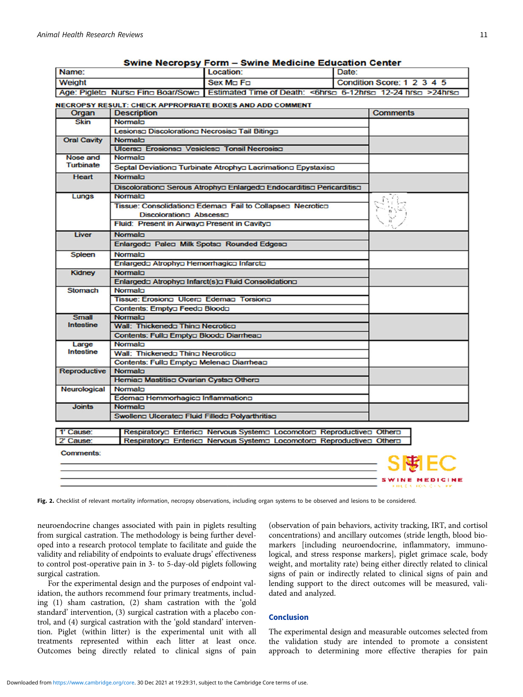<span id="page-10-0"></span>

|                                                                                                 |                                                 | Swine Necropsy Form – Swine Medicine Education Center                 |       |                            |
|-------------------------------------------------------------------------------------------------|-------------------------------------------------|-----------------------------------------------------------------------|-------|----------------------------|
| Name:                                                                                           |                                                 | Location:                                                             | Date: |                            |
| <b>Weight</b>                                                                                   |                                                 | Sex Mn Fn                                                             |       | Condition Score: 1 2 3 4 5 |
| Age: Piglet□ Nurso Fino Boar/Sowo   Estimated Time of Death: <6hrso 6-12hrso 12-24 hrso >24hrso |                                                 |                                                                       |       |                            |
|                                                                                                 |                                                 | NECROPSY RESULT: CHECK APPROPRIATE BOXES AND ADD COMMENT              |       |                            |
| Organ                                                                                           | <b>Description</b>                              |                                                                       |       | <b>Comments</b>            |
| <b>Skin</b>                                                                                     | Normalo                                         |                                                                       |       |                            |
|                                                                                                 | Lesionsa Discolorationa Necrosisa Tail Bitinga  |                                                                       |       |                            |
| <b>Oral Cavity</b>                                                                              | Normalo                                         |                                                                       |       |                            |
|                                                                                                 | Ulcersa Erosionsa Vesiclesa Tonsil Necrosisa    |                                                                       |       |                            |
| <b>Nose and</b>                                                                                 | Normalo                                         |                                                                       |       |                            |
| <b>Turbinate</b>                                                                                |                                                 | Septal Deviationa Turbinate Atrophya Lacrimationa Epystaxisa          |       |                            |
| <b>Heart</b>                                                                                    | Normalo                                         |                                                                       |       |                            |
|                                                                                                 |                                                 |                                                                       |       |                            |
|                                                                                                 | Normaln                                         | Discolorationa Serous Atrophya Enlargeda Endocarditisa Pericarditisa  |       |                            |
| Lungs                                                                                           |                                                 |                                                                       |       |                            |
|                                                                                                 |                                                 | Tissue: Consolidationa Edemaa Fail to Collapsea Necrotica             |       |                            |
|                                                                                                 | Discolorationn Abscesso                         |                                                                       |       |                            |
|                                                                                                 | Fluid: Present in Airwaya Present in Cavitya    |                                                                       |       |                            |
| Liver                                                                                           | Normalo                                         |                                                                       |       |                            |
|                                                                                                 | Enlargedo Paleo Milk Spotso Rounded Edgeso      |                                                                       |       |                            |
| <b>Spleen</b>                                                                                   | Normalo                                         |                                                                       |       |                            |
|                                                                                                 | Enlargedo Atrophyo Hemorrhagico Infarcto        |                                                                       |       |                            |
| <b>Kidney</b>                                                                                   | Normalo                                         |                                                                       |       |                            |
|                                                                                                 |                                                 | Enlargedo Atrophyo Infarct(s)o Fluid Consolidationo                   |       |                            |
| <b>Stomach</b>                                                                                  | Normalo                                         |                                                                       |       |                            |
|                                                                                                 | Tissue: Erosiono Ulcero Edemao Torsiono         |                                                                       |       |                            |
|                                                                                                 | Contents: Emptya Feeda Blooda                   |                                                                       |       |                            |
| <b>Small</b>                                                                                    | Normalo                                         |                                                                       |       |                            |
| <b>Intestine</b>                                                                                | Wall: Thickeneda Thina Necrotica                |                                                                       |       |                            |
|                                                                                                 | Contents: Fullo Emptyo Bloodo Diarrheao         |                                                                       |       |                            |
| Large                                                                                           | Normaln                                         |                                                                       |       |                            |
| <b>Intestine</b>                                                                                | Wall: Thickeneda Thina Necrotica                |                                                                       |       |                            |
|                                                                                                 | Contents: Fullo Emptyo Melenao Diarrheao        |                                                                       |       |                            |
| <b>Reproductive</b>                                                                             | Normalo                                         |                                                                       |       |                            |
|                                                                                                 | Hernian Mastitisn Ovarian Cystsn Othern         |                                                                       |       |                            |
| Neurological                                                                                    | Normalo                                         |                                                                       |       |                            |
|                                                                                                 | Edeman Hemmorhagica Inflammational              |                                                                       |       |                            |
| <b>Joints</b>                                                                                   | Normalo                                         |                                                                       |       |                            |
|                                                                                                 | Swolleng Ulcerateg Fluid Filledg Polyarthritisg |                                                                       |       |                            |
| 1' Cause:                                                                                       |                                                 | Respiratorya Enterica Nervous Systema Locomotora Reproductivea Othera |       |                            |
| 2' Cause:                                                                                       |                                                 | Respiratorya Enterica Nervous Systema Locomotora Reproductivea Othera |       |                            |
|                                                                                                 |                                                 |                                                                       |       |                            |
| Comments:                                                                                       |                                                 |                                                                       |       |                            |
|                                                                                                 |                                                 |                                                                       |       | S閘EC                       |
|                                                                                                 |                                                 |                                                                       |       | <b>SWINE MEDICINE</b>      |
|                                                                                                 |                                                 |                                                                       |       | FIRES HONGES PE            |

Fig. 2. Checklist of relevant mortality information, necropsy observations, including organ systems to be observed and lesions to be considered.

neuroendocrine changes associated with pain in piglets resulting from surgical castration. The methodology is being further developed into a research protocol template to facilitate and guide the validity and reliability of endpoints to evaluate drugs' effectiveness to control post-operative pain in 3- to 5-day-old piglets following surgical castration.

For the experimental design and the purposes of endpoint validation, the authors recommend four primary treatments, including (1) sham castration, (2) sham castration with the 'gold standard' intervention, (3) surgical castration with a placebo control, and (4) surgical castration with the 'gold standard' intervention. Piglet (within litter) is the experimental unit with all treatments represented within each litter at least once. Outcomes being directly related to clinical signs of pain

(observation of pain behaviors, activity tracking, IRT, and cortisol concentrations) and ancillary outcomes (stride length, blood biomarkers [including neuroendocrine, inflammatory, immunological, and stress response markers], piglet grimace scale, body weight, and mortality rate) being either directly related to clinical signs of pain or indirectly related to clinical signs of pain and lending support to the direct outcomes will be measured, validated and analyzed.

# Conclusion

The experimental design and measurable outcomes selected from the validation study are intended to promote a consistent approach to determining more effective therapies for pain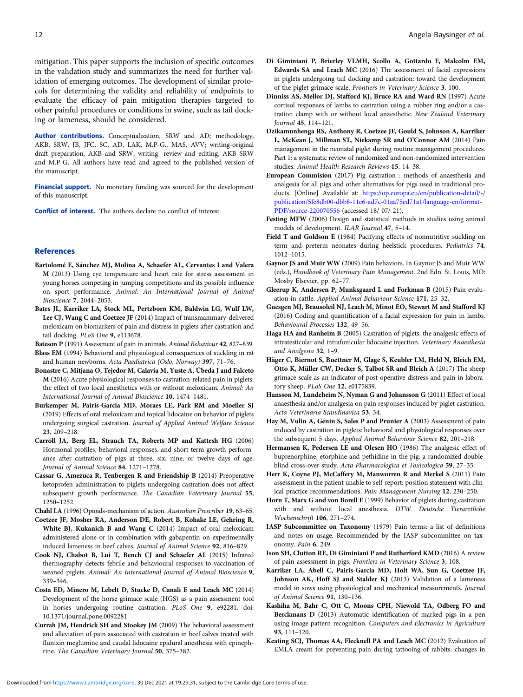<span id="page-11-0"></span>mitigation. This paper supports the inclusion of specific outcomes in the validation study and summarizes the need for further validation of emerging outcomes. The development of similar protocols for determining the validity and reliability of endpoints to evaluate the efficacy of pain mitigation therapies targeted to other painful procedures or conditions in swine, such as tail docking or lameness, should be considered.

Author contributions. Conceptualization, SRW and AD; methodology, AKB, SRW, JB, JFC, SC, AD, LAK, M.P-G., MAS, AVV; writing-original draft preparation, AKB and SRW; writing- review and editing, AKB SRW and M.P-G. All authors have read and agreed to the published version of the manuscript.

Financial support. No monetary funding was sourced for the development of this manuscript.

Conflict of interest. The authors declare no conflict of interest.

### References

- Bartolomé E, Sánchez MJ, Molina A, Schaefer AL, Cervantes I and Valera M (2013) Using eye temperature and heart rate for stress assessment in young horses competing in jumping competitions and its possible influence on sport performance. Animal: An International Journal of Animal Bioscience 7, 2044–2053.
- Bates JL, Karriker LA, Stock ML, Pertzborn KM, Baldwin LG, Wulf LW, Lee CJ, Wang C and Coetzee JF (2014) Impact of transmammary-delivered meloxicam on biomarkers of pain and distress in piglets after castration and tail docking. PLoS One 9, e113678.
- Bateson P (1991) Assessment of pain in animals. Animal Behaviour 42, 827–839. Blass EM (1994) Behavioral and physiological consequences of suckling in rat and human newborns. Acta Paediatrica (Oslo, Norway) 397, 71–76.
- Bonastre C, Mitjana O, Tejedor M, Calavia M, Yuste A, Úbeda J and Falceto M (2016) Acute physiological responses to castration-related pain in piglets: the effect of two local anesthetics with or without meloxicam. Animal: An International Journal of Animal Bioscience 10, 1474–1481.
- Burkemper M, Pairis-Garcia MD, Moraes LE, Park RM and Moeller SJ (2019) Effects of oral meloxicam and topical lidocaine on behavior of piglets undergoing surgical castration. Journal of Applied Animal Welfare Science 23, 209–218.
- Carroll JA, Berg EL, Strauch TA, Roberts MP and Kattesh HG (2006) Hormonal profiles, behavioral responses, and short-term growth performance after castration of pigs at three, six, nine, or twelve days of age. Journal of Animal Science 84, 1271–1278.
- Cassar G, Amezuca R, Tenbergen R and Friendship B (2014) Preoperative ketoprofen administration to piglets undergoing castration does not affect subsequent growth performance. The Canadian Veterinary Journal 55, 1250–1252.

Chahl LA (1996) Opioids-mechanism of action. Australian Prescriber 19, 63–65. Coetzee JF, Mosher RA, Anderson DE, Robert B, Kohake LE, Gehring R,

- White BJ, Kukanich B and Wang C (2014) Impact of oral meloxicam administered alone or in combination with gabapentin on experimentally induced lameness in beef calves. Journal of Animal Science 92, 816–829.
- Cook NJ, Chabot B, Lui T, Bench CJ and Schaefer AL (2015) Infrared thermography detects febrile and behavioural responses to vaccination of weaned piglets. Animal: An International Journal of Animal Bioscience 9, 339–346.
- Costa ED, Minero M, Lebelt D, Stucke D, Canali E and Leach MC (2014) Development of the horse grimace scale (HGS) as a pain assessment tool in horses undergoing routine castration. PLoS One 9, e92281. doi: 10.1371/journal.pone.0092281
- Currah JM, Hendrick SH and Stookey JM (2009) The behavioral assessment and alleviation of pain associated with castration in beef calves treated with flunixin meglumine and caudal lidocaine epidural anesthesia with epinephrine. The Canadian Veterinary Journal 50, 375–382.
- Di Giminiani P, Brierley VLMH, Scollo A, Gottardo F, Malcolm EM, Edwards SA and Leach MC (2016) The assessment of facial expressions in piglets undergoing tail docking and castration: toward the development of the piglet grimace scale. Frontiers in Veterinary Science 3, 100.
- Dinniss AS, Mellor DJ, Stafford KJ, Bruce RA and Ward RN (1997) Acute cortisol responses of lambs to castration using a rubber ring and/or a castration clamp with or without local anaesthetic. New Zealand Veterinary Journal 45, 114–121.
- Dzikamunhenga RS, Anthony R, Coetzee JF, Gould S, Johnson A, Karriker L, McKean J, Millman ST, Niekamp SR and O'Connor AM (2014) Pain management in the neonatal piglet during routine management procedures. Part 1: a systematic review of randomized and non-randomized intervention studies. Animal Health Research Reviews 15, 14–38.
- European Commision (2017) Pig castration : methods of anaesthesia and analgesia for all pigs and other alternatives for pigs used in traditional products. [Online] Available at: [https://op.europa.eu/en/publication-detail/-/](https://op.europa.eu/en/publication-detail/-/publication/5fe8db00-dbb8-11e6-ad7c-01aa75ed71a1/language-en/format-PDF/source-220070556) [publication/5fe8db00-dbb8-11e6-ad7c-01aa75ed71a1/language-en/format-](https://op.europa.eu/en/publication-detail/-/publication/5fe8db00-dbb8-11e6-ad7c-01aa75ed71a1/language-en/format-PDF/source-220070556)[PDF/source-220070556](https://op.europa.eu/en/publication-detail/-/publication/5fe8db00-dbb8-11e6-ad7c-01aa75ed71a1/language-en/format-PDF/source-220070556) (accessed 18/ 07/ 21).
- Festing MFW (2006) Design and statistical methods in studies using animal models of development. ILAR Journal 47, 5–14.
- Field T and Goldson E (1984) Pacifying effects of nonnutritive suckling on term and preterm neonates during heelstick procedures. Pediatrics 74, 1012–1015.
- Gaynor JS and Muir WW (2009) Pain behaviors. In Gaynor JS and Muir WW (eds.), Handbook of Veterinary Pain Management. 2nd Edn. St. Louis, MO: Mosby Elsevier, pp. 62–77.
- Gleerup K, Andersen P, Munksgaard L and Forkman B (2015) Pain evaluation in cattle. Applied Animal Behaviour Science 171, 25–32.
- Guesgen MJ, Beausoleil NJ, Leach M, Minot EO, Stewart M and Stafford KJ (2016) Coding and quantification of a facial expression for pain in lambs. Behavioural Processes 132, 49–56.
- Haga HA and Ranheim B (2005) Castration of piglets: the analgesic effects of intratesticular and intrafunicular lidocaine injection. Veterinary Anaesthesia and Analgesia 32, 1–9.
- Häger C, Biernot S, Buettner M, Glage S, Keubler LM, Held N, Bleich EM, Otto K, Müller CW, Decker S, Talbot SR and Bleich A (2017) The sheep grimace scale as an indicator of post-operative distress and pain in laboratory sheep. PLoS One 12, e0175839.
- Hansson M, Lundeheim N, Nyman G and Johansson G (2011) Effect of local anaesthesia and/or analgesia on pain responses induced by piglet castration. Acta Veterinaria Scandinavica 53, 34.
- Hay M, Vulin A, Génin S, Sales P and Prunier A (2003) Assessment of pain induced by castration in piglets: behavioral and physiological responses over the subsequent 5 days. Applied Animal Behaviour Science 82, 201–218.
- Hermansen K, Pedersen LE and Olesen HO (1986) The analgesic effect of buprenorphine, etorphine and pethidine in the pig: a randomized doubleblind cross-over study. Acta Pharmacologica et Toxicologica 59, 27–35.
- Herr K, Coyne PJ, McCaffery M, Manworren R and Merkel S (2011) Pain assessment in the patient unable to self-report: position statement with clinical practice recommendations. Pain Management Nursing 12, 230–250.
- Horn T, Marx G and von Borell E (1999) Behavior of piglets during castration with and without local anesthesia. DTW. Deutsche Tierarztliche Wochenschrift 106, 271–274.
- IASP Subcommittee on Taxonomy (1979) Pain terms: a list of definitions and notes on usage. Recommended by the IASP subcommittee on taxonomy. Pain 6, 249.
- Ison SH, Clutton RE, Di Giminiani P and Rutherford KMD (2016) A review of pain assessment in pigs. Frontiers in Veterinary Science 3, 108.
- Karriker LA, Abell C, Pairis-Garcia MD, Holt WA, Sun G, Coetzee JF, Johnson AK, Hoff SJ and Stalder KJ (2013) Validation of a lameness model in sows using physiological and mechanical measurements. Journal of Animal Science 91, 130–136.
- Kashiha M, Bahr C, Ott C, Moons CPH, Niewold TA, Odberg FO and Berckmans D (2013) Automatic identification of marked pigs in a pen using image pattern recognition. Computers and Electronics in Agriculture 93, 111–120.
- Keating SCJ, Thomas AA, Flecknell PA and Leach MC (2012) Evaluation of EMLA cream for preventing pain during tattooing of rabbits: changes in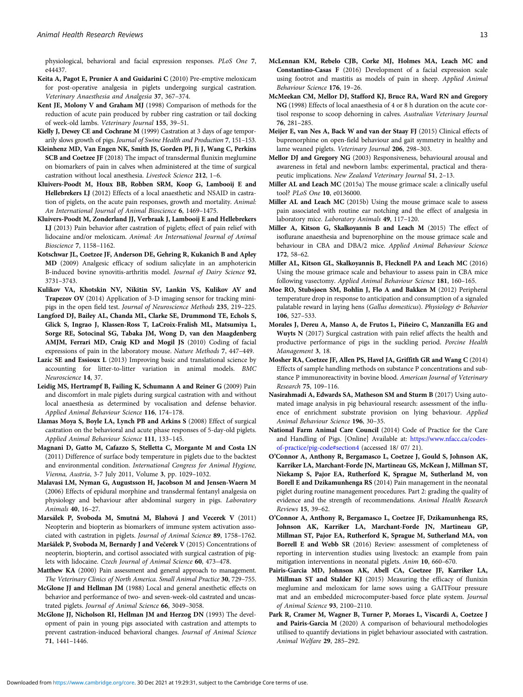<span id="page-12-0"></span>physiological, behavioral and facial expression responses. PLoS One 7, e44437.

- Keita A, Pagot E, Prunier A and Guidarini C (2010) Pre-emptive meloxicam for post-operative analgesia in piglets undergoing surgical castration. Veterinary Anaesthesia and Analgesia 37, 367–374.
- Kent JE, Molony V and Graham MJ (1998) Comparison of methods for the reduction of acute pain produced by rubber ring castration or tail docking of week-old lambs. Veterinary Journal 155, 39–51.
- Kielly J, Dewey CE and Cochrane M (1999) Castration at 3 days of age temporarily slows growth of pigs. Journal of Swine Health and Production 7, 151–153.
- Kleinhenz MD, Van Engen NK, Smith JS, Gorden PJ, Ji J, Wang C, Perkins SCB and Coetzee JF (2018) The impact of transdermal flunixin meglumine on biomarkers of pain in calves when administered at the time of surgical castration without local anesthesia. Livestock Science 212, 1–6.
- Kluivers-Poodt M, Houx BB, Robben SRM, Koop G, Lambooij E and Hellebrekers LJ (2012) Effects of a local anaesthetic and NSAID in castration of piglets, on the acute pain responses, growth and mortality. Animal: An International Journal of Animal Bioscience 6, 1469–1475.
- Kluivers-Poodt M, Zonderland JJ, Verbraak J, Lambooij E and Hellebrekers LJ (2013) Pain behavior after castration of piglets; effect of pain relief with lidocaine and/or meloxicam. Animal: An International Journal of Animal Bioscience 7, 1158–1162.
- Kotschwar JL, Coetzee JF, Anderson DE, Gehring R, Kukanich B and Apley MD (2009) Analgesic efficacy of sodium salicylate in an amphotericin B-induced bovine synovitis-arthritis model. Journal of Dairy Science 92, 3731–3743.
- Kulikov VA, Khotskin NV, Nikitin SV, Lankin VS, Kulikov AV and Trapezov OV (2014) Application of 3-D imaging sensor for tracking minipigs in the open field test. Journal of Neuroscience Methods 235, 219–225.
- Langford DJ, Bailey AL, Chanda ML, Clarke SE, Drummond TE, Echols S, Glick S, Ingrao J, Klassen-Ross T, LaCroix-Fralish ML, Matsumiya L, Sorge RE, Sotocinal SG, Tabaka JM, Wong D, van den Maagdenberg AMJM, Ferrari MD, Craig KD and Mogil JS (2010) Coding of facial expressions of pain in the laboratory mouse. Nature Methods 7, 447–449.
- Lazic SE and Essioux L (2013) Improving basic and translational science by accounting for litter-to-litter variation in animal models. BMC Neuroscience 14, 37.
- Leidig MS, Hertrampf B, Failing K, Schumann A and Reiner G (2009) Pain and discomfort in male piglets during surgical castration with and without local anaesthesia as determined by vocalisation and defense behavior. Applied Animal Behaviour Science 116, 174–178.
- Llamas Moya S, Boyle LA, Lynch PB and Arkins S (2008) Effect of surgical castration on the behavioral and acute phase responses of 5-day-old piglets. Applied Animal Behaviour Science 111, 133–145.
- Magnani D, Gatto M, Cafazzo S, Stelletta C, Morgante M and Costa LN (2011) Difference of surface body temperature in piglets due to the backtest and environmental condition. International Congress for Animal Hygiene, Vienna, Austria, 3-7 July 2011, Volume 3, pp. 1029–1032.
- Malavasi LM, Nyman G, Augustsson H, Jacobson M and Jensen-Waern M (2006) Effects of epidural morphine and transdermal fentanyl analgesia on physiology and behaviour after abdominal surgery in pigs. Laboratory Animals 40, 16–27.
- Marsálek P, Svoboda M, Smutná M, Blahová J and Vecerek V (2011) Neopterin and biopterin as biomarkers of immune system activation associated with castration in piglets. Journal of Animal Science 89, 1758–1762.
- Maršálek P, Svoboda M, Bernardy J and Večerek V (2015) Concentrations of neopterin, biopterin, and cortisol associated with surgical castration of piglets with lidocaine. Czech Journal of Animal Science 60, 473–478.
- Matthew KA (2000) Pain assessment and general approach to management. The Veterinary Clinics of North America. Small Animal Practice 30, 729–755.
- McGlone JJ and Hellman JM (1988) Local and general anesthetic effects on behavior and performance of two- and seven-week-old castrated and uncastrated piglets. Journal of Animal Science 66, 3049–3058.
- McGlone JJ, Nicholson RI, Hellman JM and Herzog DN (1993) The development of pain in young pigs associated with castration and attempts to prevent castration-induced behavioral changes. Journal of Animal Science 71, 1441–1446.
- McLennan KM, Rebelo CJB, Corke MJ, Holmes MA, Leach MC and Constantino-Casas F (2016) Development of a facial expression scale using footrot and mastitis as models of pain in sheep. Applied Animal Behaviour Science 176, 19–26.
- McMeekan CM, Mellor DJ, Stafford KJ, Bruce RA, Ward RN and Gregory NG (1998) Effects of local anaesthesia of 4 or 8 h duration on the acute cortisol response to scoop dehorning in calves. Australian Veterinary Journal 76, 281–285.
- Meijer E, van Nes A, Back W and van der Staay FJ (2015) Clinical effects of buprenorphine on open-field behaviour and gait symmetry in healthy and lame weaned piglets. Veterinary Journal 206, 298–303.
- Mellor DJ and Gregory NG (2003) Responsiveness, behavioural arousal and awareness in fetal and newborn lambs: experimental, practical and therapeutic implications. New Zealand Veterinary Journal 51, 2–13.
- Miller AL and Leach MC (2015a) The mouse grimace scale: a clinically useful tool? PLoS One 10, e0136000.
- Miller AL and Leach MC (2015b) Using the mouse grimace scale to assess pain associated with routine ear notching and the effect of analgesia in laboratory mice. Laboratory Animals 49, 117–120.
- Miller A, Kitson G, Skalkoyannis B and Leach M (2015) The effect of isoflurane anaesthesia and buprenorphine on the mouse grimace scale and behaviour in CBA and DBA/2 mice. Applied Animal Behaviour Science 172, 58–62.
- Miller AL, Kitson GL, Skalkoyannis B, Flecknell PA and Leach MC (2016) Using the mouse grimace scale and behaviour to assess pain in CBA mice following vasectomy. Applied Animal Behaviour Science 181, 160–165.
- Moe RO, Stubsjøen SM, Bohlin J, Flø A and Bakken M (2012) Peripheral temperature drop in response to anticipation and consumption of a signaled palatable reward in laying hens (Gallus domesticus). Physiology & Behavior 106, 527–533.
- Morales J, Dereu A, Manso A, de Frutos L, Piñeiro C, Manzanilla EG and Wuyts N (2017) Surgical castration with pain relief affects the health and productive performance of pigs in the suckling period. Porcine Health Management 3, 18.
- Mosher RA, Coetzee JF, Allen PS, Havel JA, Griffith GR and Wang C (2014) Effects of sample handling methods on substance P concentrations and substance P immunoreactivity in bovine blood. American Journal of Veterinary Research 75, 109–116.
- Nasirahmadi A, Edwards SA, Matheson SM and Sturm B (2017) Using automated image analysis in pig behavioural research: assessment of the influence of enrichment substrate provision on lying behaviour. Applied Animal Behaviour Science 196, 30–35.
- National Farm Animal Care Council (2014) Code of Practice for the Care and Handling of Pigs. [Online] Available at: [https://www.nfacc.ca/codes](https://www.nfacc.ca/codes-of-practice/pig-code#section4)[of-practice/pig-code#section4](https://www.nfacc.ca/codes-of-practice/pig-code#section4) (accessed 18/ 07/ 21).
- O'Connor A, Anthony R, Bergamasco L, Coetzee J, Gould S, Johnson AK, Karriker LA, Marchant-Forde JN, Martineau GS, McKean J, Millman ST, Niekamp S, Pajor EA, Rutherford K, Sprague M, Sutherland M, von Borell E and Dzikamunhenga RS (2014) Pain management in the neonatal piglet during routine management procedures. Part 2: grading the quality of evidence and the strength of recommendations. Animal Health Research Reviews 15, 39–62.
- O'Connor A, Anthony R, Bergamasco L, Coetzee JF, Dzikamunhenga RS, Johnson AK, Karriker LA, Marchant-Forde JN, Martineau GP, Millman ST, Pajor EA, Rutherford K, Sprague M, Sutherland MA, von Borrell E and Webb SR (2016) Review: assessment of completeness of reporting in intervention studies using livestock: an example from pain mitigation interventions in neonatal piglets. Anim 10, 660–670.
- Pairis-Garcia MD, Johnson AK, Abell CA, Coetzee JF, Karriker LA, Millman ST and Stalder KJ (2015) Measuring the efficacy of flunixin meglumine and meloxicam for lame sows using a GAITFour pressure mat and an embedded microcomputer-based force plate system. Journal of Animal Science 93, 2100–2110.
- Park R, Cramer M, Wagner B, Turner P, Moraes L, Viscardi A, Coetzee J and Pairis-Garcia M (2020) A comparison of behavioural methodologies utilised to quantify deviations in piglet behaviour associated with castration. Animal Welfare 29, 285–292.